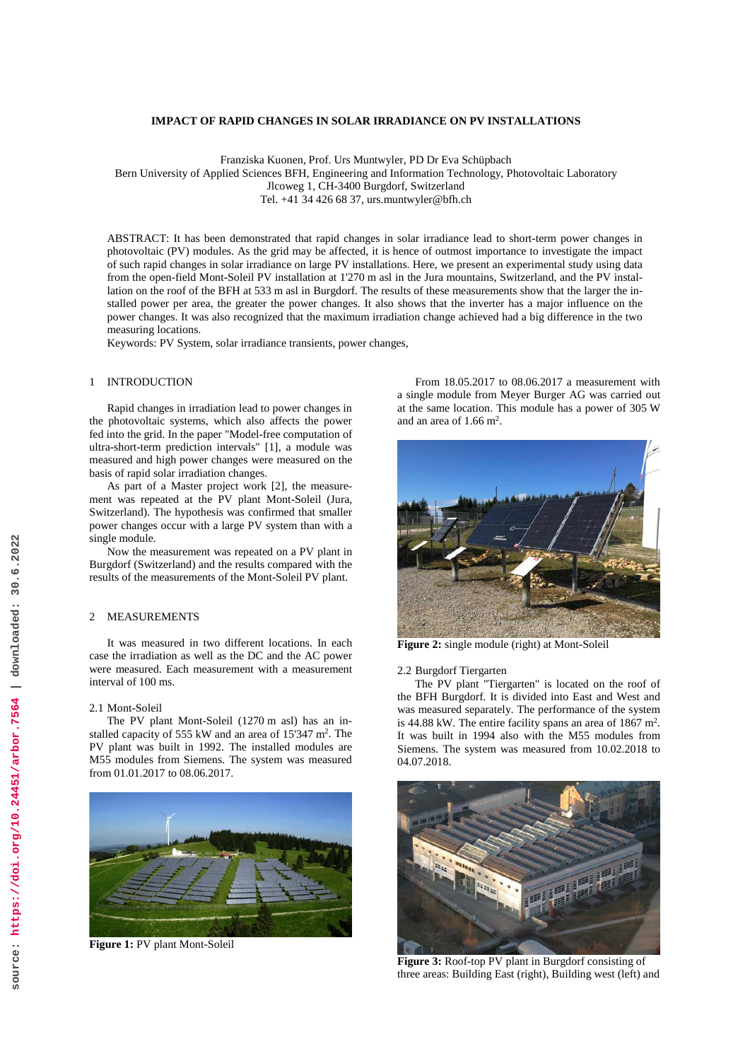# **IMPACT OF RAPID CHANGES IN SOLAR IRRADIANCE ON PV INSTALLATIONS**

Franziska Kuonen, Prof. Urs Muntwyler, PD Dr Eva Schüpbach

Bern University of Applied Sciences BFH, Engineering and Information Technology, Photovoltaic Laboratory

Jlcoweg 1, CH-3400 Burgdorf, Switzerland

Tel. +41 34 426 68 37, urs.muntwyler@bfh.ch

ABSTRACT: It has been demonstrated that rapid changes in solar irradiance lead to short-term power changes in photovoltaic (PV) modules. As the grid may be affected, it is hence of outmost importance to investigate the impact of such rapid changes in solar irradiance on large PV installations. Here, we present an experimental study using data from the open-field Mont-Soleil PV installation at 1'270 m asl in the Jura mountains, Switzerland, and the PV installation on the roof of the BFH at 533 m asl in Burgdorf. The results of these measurements show that the larger the installed power per area, the greater the power changes. It also shows that the inverter has a major influence on the power changes. It was also recognized that the maximum irradiation change achieved had a big difference in the two measuring locations.

Keywords: PV System, solar irradiance transients, power changes,

## 1 INTRODUCTION

Rapid changes in irradiation lead to power changes in the photovoltaic systems, which also affects the power fed into the grid. In the paper "Model-free computation of ultra-short-term prediction intervals" [1], a module was measured and high power changes were measured on the basis of rapid solar irradiation changes.

As part of a Master project work [2], the measurement was repeated at the PV plant Mont-Soleil (Jura, Switzerland). The hypothesis was confirmed that smaller power changes occur with a large PV system than with a single module.

Now the measurement was repeated on a PV plant in Burgdorf (Switzerland) and the results compared with the results of the measurements of the Mont-Soleil PV plant.

# 2 MEASUREMENTS

It was measured in two different locations. In each case the irradiation as well as the DC and the AC power were measured. Each measurement with a measurement interval of 100 ms.

#### 2.1 Mont-Soleil

The PV plant Mont-Soleil (1270 m asl) has an installed capacity of 555 kW and an area of 15'347 m<sup>2</sup>. The PV plant was built in 1992. The installed modules are M55 modules from Siemens. The system was measured from 01.01.2017 to 08.06.2017.



**Figure 1:** PV plant Mont-Soleil

From 18.05.2017 to 08.06.2017 a measurement with a single module from Meyer Burger AG was carried out at the same location. This module has a power of 305 W and an area of 1.66 m2.



**Figure 2:** single module (right) at Mont-Soleil

2.2 Burgdorf Tiergarten

The PV plant "Tiergarten" is located on the roof of the BFH Burgdorf. It is divided into East and West and was measured separately. The performance of the system is 44.88 kW. The entire facility spans an area of 1867 m2. It was built in 1994 also with the M55 modules from Siemens. The system was measured from 10.02.2018 to 04.07.2018.



**Figure 3:** Roof-top PV plant in Burgdorf consisting of three areas: Building East (right), Building west (left) and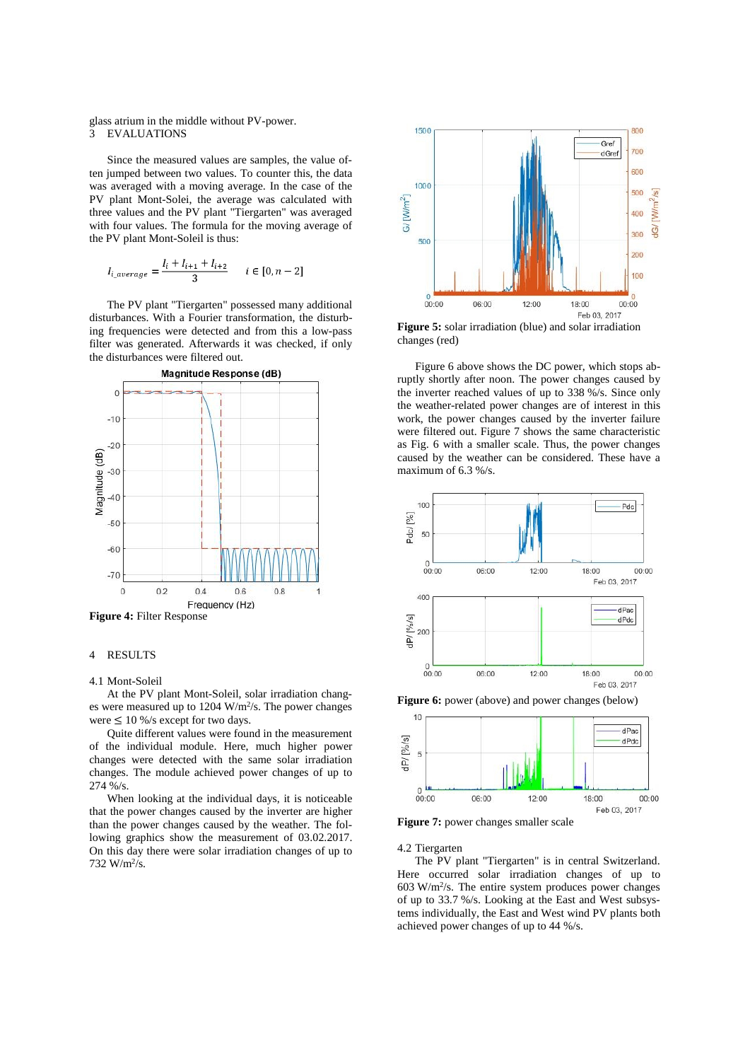## glass atrium in the middle without PV-power.<br>3 EVALUATIONS **EVALUATIONS**

Since the measured values are samples, the value often jumped between two values. To counter this, the data was averaged with a moving average. In the case of the PV plant Mont-Solei, the average was calculated with three values and the PV plant "Tiergarten" was averaged with four values. The formula for the moving average of the PV plant Mont-Soleil is thus:

$$
I_{i\_average} = \frac{I_i + I_{i+1} + I_{i+2}}{3} \quad i \in [0, n-2]
$$

The PV plant "Tiergarten" possessed many additional disturbances. With a Fourier transformation, the disturbing frequencies were detected and from this a low-pass filter was generated. Afterwards it was checked, if only the disturbances were filtered out.



**Figure 4:** Filter Response

# 4 RESULTS

#### 4.1 Mont-Soleil

At the PV plant Mont-Soleil, solar irradiation changes were measured up to  $1204 \text{ W/m}^2/\text{s}$ . The power changes were  $\leq 10\%$ /s except for two days.

Quite different values were found in the measurement of the individual module. Here, much higher power changes were detected with the same solar irradiation changes. The module achieved power changes of up to 274 %/s.

When looking at the individual days, it is noticeable that the power changes caused by the inverter are higher than the power changes caused by the weather. The following graphics show the measurement of 03.02.2017. On this day there were solar irradiation changes of up to 732 W/m2/s.



**Figure 5:** solar irradiation (blue) and solar irradiation changes (red)

Figure 6 above shows the DC power, which stops abruptly shortly after noon. The power changes caused by the inverter reached values of up to 338 %/s. Since only the weather-related power changes are of interest in this work, the power changes caused by the inverter failure were filtered out. Figure 7 shows the same characteristic as Fig. 6 with a smaller scale. Thus, the power changes caused by the weather can be considered. These have a maximum of 6.3 %/s.



**Figure 6:** power (above) and power changes (below)



**Figure 7:** power changes smaller scale

4.2 Tiergarten

The PV plant "Tiergarten" is in central Switzerland. Here occurred solar irradiation changes of up to  $603$  W/m<sup>2</sup>/s. The entire system produces power changes of up to 33.7 %/s. Looking at the East and West subsystems individually, the East and West wind PV plants both achieved power changes of up to 44 %/s.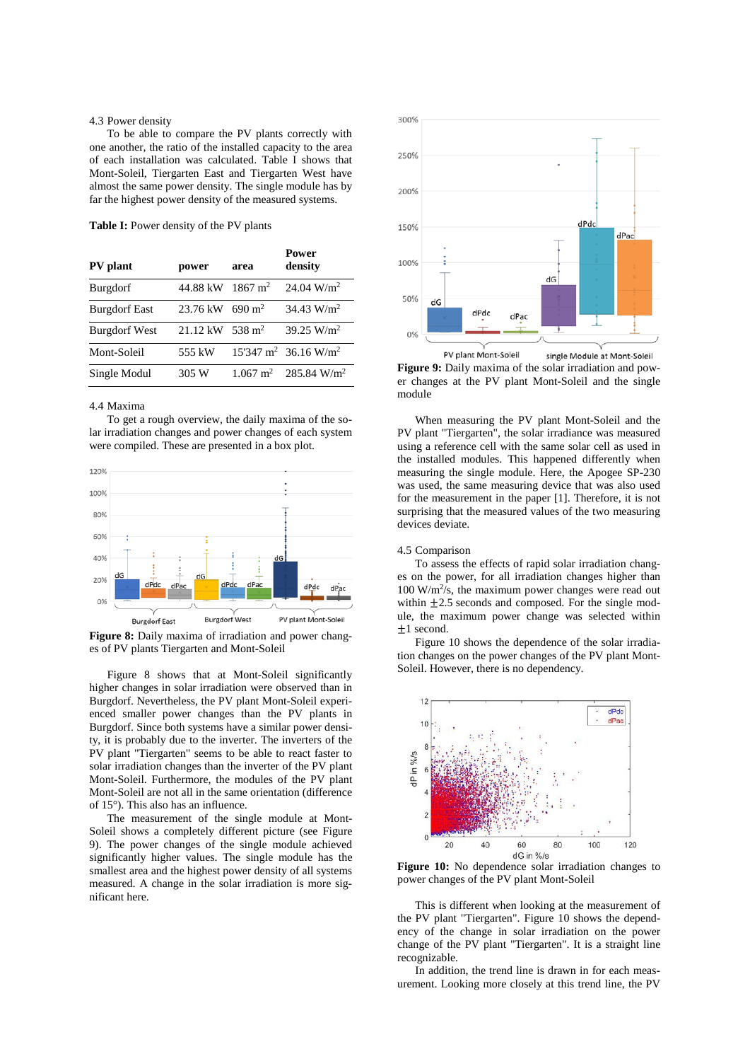# 4.3 Power density

To be able to compare the PV plants correctly with one another, the ratio of the installed capacity to the area of each installation was calculated. Table I shows that Mont-Soleil, Tiergarten East and Tiergarten West have almost the same power density. The single module has by far the highest power density of the measured systems.

**Table I:** Power density of the PV plants

| PV plant             | power    | area               | Power<br>density                            |
|----------------------|----------|--------------------|---------------------------------------------|
| <b>Burgdorf</b>      | 44.88 kW | $1867 \text{ m}^2$ | $24.04 \text{ W/m}^2$                       |
| <b>Burgdorf East</b> | 23.76 kW | $690 \text{ m}^2$  | $34.43 \text{ W/m}^2$                       |
| <b>Burgdorf West</b> | 21.12 kW | $538 \text{ m}^2$  | 39.25 $W/m^2$                               |
| Mont-Soleil          | 555 kW   |                    | $15'347 \text{ m}^2$ 36.16 W/m <sup>2</sup> |
| Single Modul         | 305 W    |                    | $1.067 \text{ m}^2$ 285.84 W/m <sup>2</sup> |

## 4.4 Maxima

To get a rough overview, the daily maxima of the solar irradiation changes and power changes of each system were compiled. These are presented in a box plot.



**Figure 8:** Daily maxima of irradiation and power changes of PV plants Tiergarten and Mont-Soleil

Figure 8 shows that at Mont-Soleil significantly higher changes in solar irradiation were observed than in Burgdorf. Nevertheless, the PV plant Mont-Soleil experienced smaller power changes than the PV plants in Burgdorf. Since both systems have a similar power density, it is probably due to the inverter. The inverters of the PV plant "Tiergarten" seems to be able to react faster to solar irradiation changes than the inverter of the PV plant Mont-Soleil. Furthermore, the modules of the PV plant Mont-Soleil are not all in the same orientation (difference of 15°). This also has an influence.

The measurement of the single module at Mont-Soleil shows a completely different picture (see Figure 9). The power changes of the single module achieved significantly higher values. The single module has the smallest area and the highest power density of all systems measured. A change in the solar irradiation is more significant here.



**Figure 9:** Daily maxima of the solar irradiation and power changes at the PV plant Mont-Soleil and the single module

When measuring the PV plant Mont-Soleil and the PV plant "Tiergarten", the solar irradiance was measured using a reference cell with the same solar cell as used in the installed modules. This happened differently when measuring the single module. Here, the Apogee SP-230 was used, the same measuring device that was also used for the measurement in the paper [1]. Therefore, it is not surprising that the measured values of the two measuring devices deviate.

#### 4.5 Comparison

To assess the effects of rapid solar irradiation changes on the power, for all irradiation changes higher than  $100 \text{ W/m}^2$ /s, the maximum power changes were read out within  $\pm 2.5$  seconds and composed. For the single module, the maximum power change was selected within ±1 second.

Figure 10 shows the dependence of the solar irradiation changes on the power changes of the PV plant Mont-Soleil. However, there is no dependency.



**Figure 10:** No dependence solar irradiation changes to power changes of the PV plant Mont-Soleil

This is different when looking at the measurement of the PV plant "Tiergarten". Figure 10 shows the dependency of the change in solar irradiation on the power change of the PV plant "Tiergarten". It is a straight line recognizable.

In addition, the trend line is drawn in for each measurement. Looking more closely at this trend line, the PV